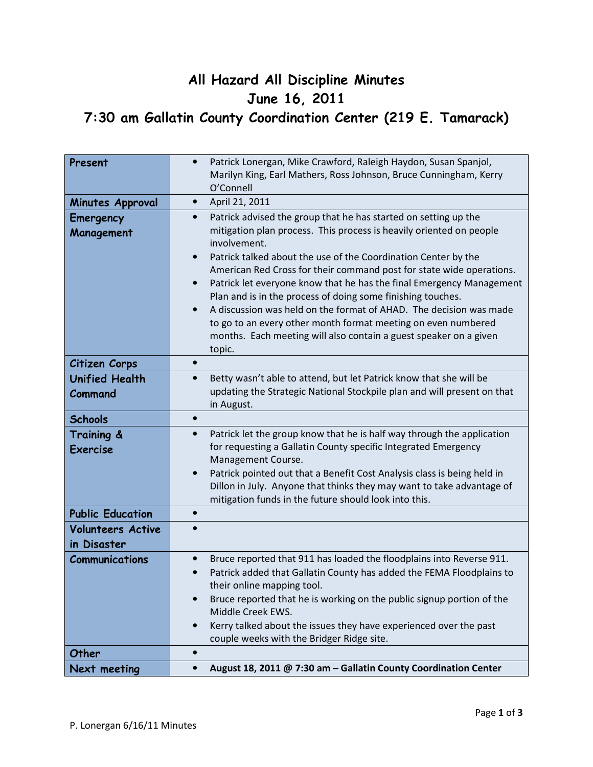## All Hazard All Discipline Minutes June 16, 2011 7:30 am Gallatin County Coordination Center (219 E. Tamarack)

| Present                                 | Patrick Lonergan, Mike Crawford, Raleigh Haydon, Susan Spanjol,<br>$\bullet$<br>Marilyn King, Earl Mathers, Ross Johnson, Bruce Cunningham, Kerry                                                                                                                   |
|-----------------------------------------|---------------------------------------------------------------------------------------------------------------------------------------------------------------------------------------------------------------------------------------------------------------------|
|                                         | O'Connell                                                                                                                                                                                                                                                           |
| <b>Minutes Approval</b>                 | April 21, 2011<br>$\bullet$                                                                                                                                                                                                                                         |
| Emergency<br>Management                 | Patrick advised the group that he has started on setting up the<br>$\bullet$<br>mitigation plan process. This process is heavily oriented on people<br>involvement.                                                                                                 |
|                                         | Patrick talked about the use of the Coordination Center by the<br>$\bullet$<br>American Red Cross for their command post for state wide operations.                                                                                                                 |
|                                         | Patrick let everyone know that he has the final Emergency Management<br>$\bullet$<br>Plan and is in the process of doing some finishing touches.                                                                                                                    |
|                                         | A discussion was held on the format of AHAD. The decision was made<br>to go to an every other month format meeting on even numbered<br>months. Each meeting will also contain a guest speaker on a given<br>topic.                                                  |
| Citizen Corps                           |                                                                                                                                                                                                                                                                     |
| <b>Unified Health</b><br>Command        | Betty wasn't able to attend, but let Patrick know that she will be<br>$\bullet$<br>updating the Strategic National Stockpile plan and will present on that<br>in August.                                                                                            |
| <b>Schools</b>                          | $\bullet$                                                                                                                                                                                                                                                           |
| Training &<br><b>Exercise</b>           | Patrick let the group know that he is half way through the application<br>$\bullet$<br>for requesting a Gallatin County specific Integrated Emergency<br>Management Course.<br>Patrick pointed out that a Benefit Cost Analysis class is being held in<br>$\bullet$ |
|                                         | Dillon in July. Anyone that thinks they may want to take advantage of<br>mitigation funds in the future should look into this.                                                                                                                                      |
| <b>Public Education</b>                 |                                                                                                                                                                                                                                                                     |
| <b>Volunteers Active</b><br>in Disaster |                                                                                                                                                                                                                                                                     |
| <b>Communications</b>                   | Bruce reported that 911 has loaded the floodplains into Reverse 911.<br>$\bullet$<br>Patrick added that Gallatin County has added the FEMA Floodplains to<br>their online mapping tool.                                                                             |
|                                         | Bruce reported that he is working on the public signup portion of the<br>$\bullet$<br>Middle Creek EWS.                                                                                                                                                             |
|                                         | Kerry talked about the issues they have experienced over the past<br>$\bullet$<br>couple weeks with the Bridger Ridge site.                                                                                                                                         |
| Other                                   | $\bullet$                                                                                                                                                                                                                                                           |
| Next meeting                            | August 18, 2011 @ 7:30 am - Gallatin County Coordination Center<br>$\bullet$                                                                                                                                                                                        |